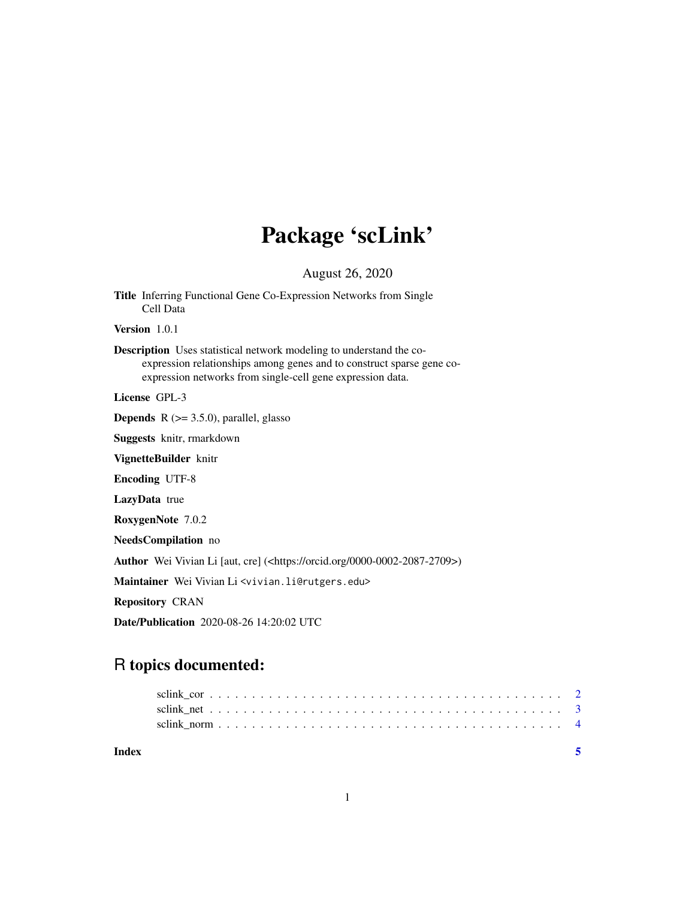## Package 'scLink'

August 26, 2020

Title Inferring Functional Gene Co-Expression Networks from Single Cell Data Version 1.0.1 Description Uses statistical network modeling to understand the coexpression relationships among genes and to construct sparse gene coexpression networks from single-cell gene expression data. License GPL-3 **Depends**  $R$  ( $>= 3.5.0$ ), parallel, glasso Suggests knitr, rmarkdown VignetteBuilder knitr Encoding UTF-8 LazyData true RoxygenNote 7.0.2 NeedsCompilation no Author Wei Vivian Li [aut, cre] (<https://orcid.org/0000-0002-2087-2709>) Maintainer Wei Vivian Li <vivian.li@rutgers.edu> Repository CRAN Date/Publication 2020-08-26 14:20:02 UTC

### R topics documented:

| Index |  |  |  |  |  |  |  |  |  |  |  |  |  |  |  |  |  |
|-------|--|--|--|--|--|--|--|--|--|--|--|--|--|--|--|--|--|
|       |  |  |  |  |  |  |  |  |  |  |  |  |  |  |  |  |  |
|       |  |  |  |  |  |  |  |  |  |  |  |  |  |  |  |  |  |
|       |  |  |  |  |  |  |  |  |  |  |  |  |  |  |  |  |  |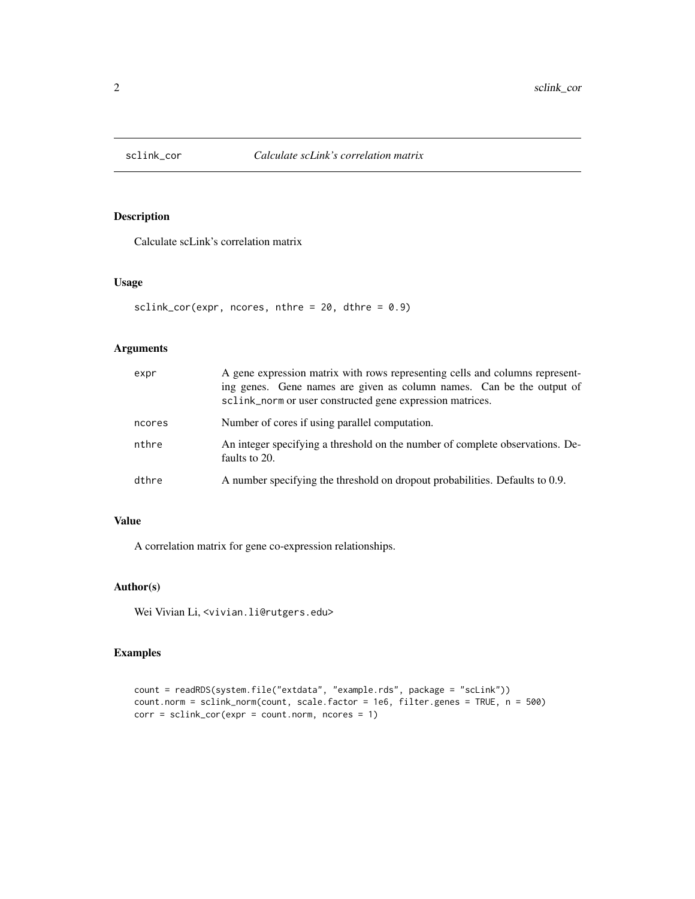<span id="page-1-0"></span>

#### Description

Calculate scLink's correlation matrix

#### Usage

```
sclink_cor(expr, ncores, nthre = 20, dthre = 0.9)
```
#### Arguments

| expr   | A gene expression matrix with rows representing cells and columns represent-<br>ing genes. Gene names are given as column names. Can be the output of<br>sclink_norm or user constructed gene expression matrices. |
|--------|--------------------------------------------------------------------------------------------------------------------------------------------------------------------------------------------------------------------|
| ncores | Number of cores if using parallel computation.                                                                                                                                                                     |
| nthre  | An integer specifying a threshold on the number of complete observations. De-<br>faults to 20.                                                                                                                     |
| dthre  | A number specifying the threshold on dropout probabilities. Defaults to 0.9.                                                                                                                                       |

#### Value

A correlation matrix for gene co-expression relationships.

#### Author(s)

Wei Vivian Li, <vivian.li@rutgers.edu>

#### Examples

```
count = readRDS(system.file("extdata", "example.rds", package = "scLink"))
count.norm = sclink_norm(count, scale.factor = 1e6, filter.genes = TRUE, n = 500)
corr = sclink_cor(expr = count.norm, ncores = 1)
```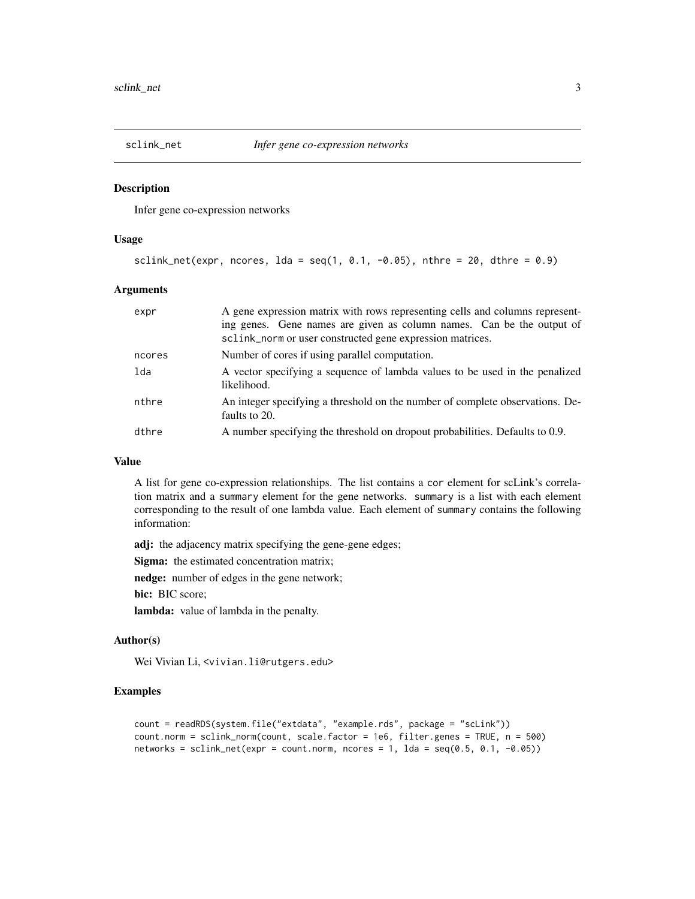<span id="page-2-0"></span>

#### Description

Infer gene co-expression networks

#### Usage

```
sclink_net(expr, ncores, 1da = \text{seq}(1, 0.1, -0.05), nthre = 20, dthre = 0.9)
```
#### Arguments

| expr   | A gene expression matrix with rows representing cells and columns represent-<br>ing genes. Gene names are given as column names. Can be the output of<br>sclink_norm or user constructed gene expression matrices. |
|--------|--------------------------------------------------------------------------------------------------------------------------------------------------------------------------------------------------------------------|
| ncores | Number of cores if using parallel computation.                                                                                                                                                                     |
| lda    | A vector specifying a sequence of lambda values to be used in the penalized<br>likelihood.                                                                                                                         |
| nthre  | An integer specifying a threshold on the number of complete observations. De-<br>faults to 20.                                                                                                                     |
| dthre  | A number specifying the threshold on dropout probabilities. Defaults to 0.9.                                                                                                                                       |

#### Value

A list for gene co-expression relationships. The list contains a cor element for scLink's correlation matrix and a summary element for the gene networks. summary is a list with each element corresponding to the result of one lambda value. Each element of summary contains the following information:

adj: the adjacency matrix specifying the gene-gene edges;

Sigma: the estimated concentration matrix;

nedge: number of edges in the gene network;

bic: BIC score;

lambda: value of lambda in the penalty.

#### Author(s)

Wei Vivian Li, <vivian.li@rutgers.edu>

#### Examples

```
count = readRDS(system.file("extdata", "example.rds", package = "scLink"))
count.norm = sclink_norm(count, scale.factor = 1e6, filter.genes = TRUE, n = 500)
networks = sclink_net(expr = count.norm, ncores = 1, lda = seq(0.5, 0.1, -0.05))
```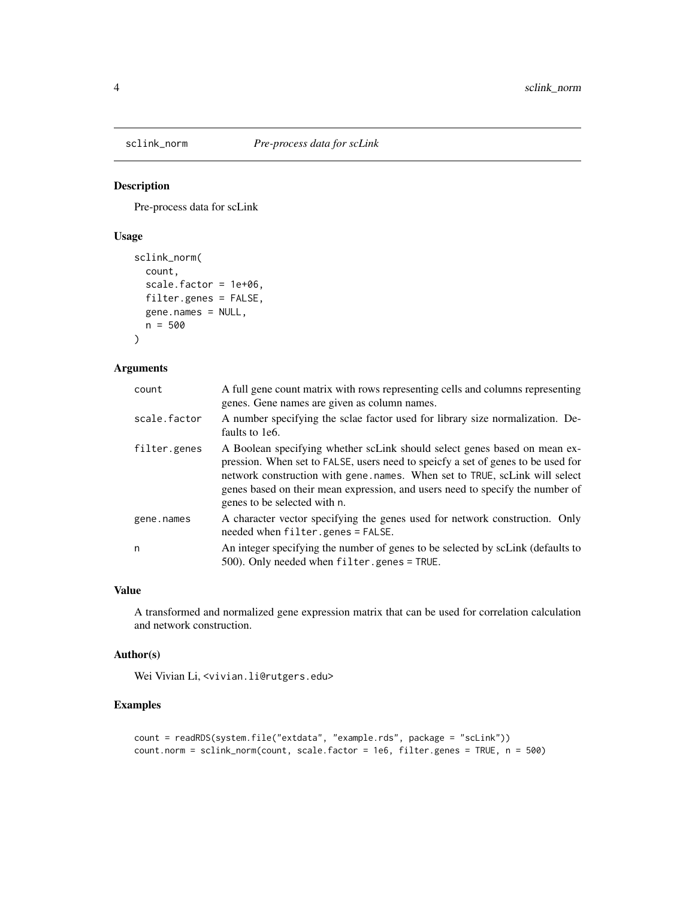<span id="page-3-0"></span>

#### Description

Pre-process data for scLink

#### Usage

```
sclink_norm(
  count,
  scale.factor = 1e+06,
 filter.genes = FALSE,
  gene.names = NULL,
 n = 500
\lambda
```
#### Arguments

| count        | A full gene count matrix with rows representing cells and columns representing<br>genes. Gene names are given as column names.                                                                                                                                                                                                                                |
|--------------|---------------------------------------------------------------------------------------------------------------------------------------------------------------------------------------------------------------------------------------------------------------------------------------------------------------------------------------------------------------|
| scale.factor | A number specifying the sclae factor used for library size normalization. De-<br>faults to 1e6.                                                                                                                                                                                                                                                               |
| filter.genes | A Boolean specifying whether scLink should select genes based on mean ex-<br>pression. When set to FALSE, users need to speicfy a set of genes to be used for<br>network construction with gene, names. When set to TRUE, scLink will select<br>genes based on their mean expression, and users need to specify the number of<br>genes to be selected with n. |
| gene.names   | A character vector specifying the genes used for network construction. Only<br>needed when filter.genes = FALSE.                                                                                                                                                                                                                                              |
| n            | An integer specifying the number of genes to be selected by scLink (defaults to<br>$500$ ). Only needed when filter.genes = TRUE.                                                                                                                                                                                                                             |

#### Value

A transformed and normalized gene expression matrix that can be used for correlation calculation and network construction.

#### Author(s)

Wei Vivian Li, <vivian.li@rutgers.edu>

#### Examples

```
count = readRDS(system.file("extdata", "example.rds", package = "scLink"))
count.norm = sclink_norm(count, scale.factor = 1e6, filter.genes = TRUE, n = 500)
```